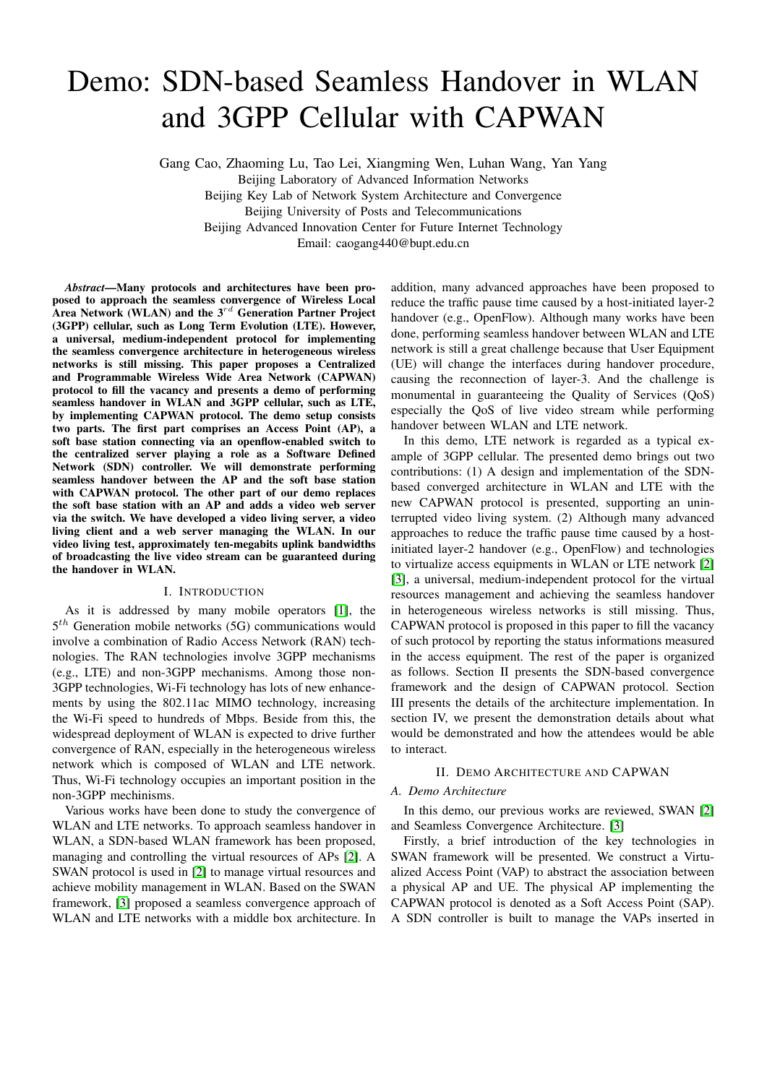# Demo: SDN-based Seamless Handover in WLAN and 3GPP Cellular with CAPWAN

Gang Cao, Zhaoming Lu, Tao Lei, Xiangming Wen, Luhan Wang, Yan Yang

Beijing Laboratory of Advanced Information Networks Beijing Key Lab of Network System Architecture and Convergence Beijing University of Posts and Telecommunications Beijing Advanced Innovation Center for Future Internet Technology Email: caogang440@bupt.edu.cn

*Abstract*—Many protocols and architectures have been proposed to approach the seamless convergence of Wireless Local Area Network (WLAN) and the  $3^{rd}$  Generation Partner Project (3GPP) cellular, such as Long Term Evolution (LTE). However, a universal, medium-independent protocol for implementing the seamless convergence architecture in heterogeneous wireless networks is still missing. This paper proposes a Centralized and Programmable Wireless Wide Area Network (CAPWAN) protocol to fill the vacancy and presents a demo of performing seamless handover in WLAN and 3GPP cellular, such as LTE, by implementing CAPWAN protocol. The demo setup consists two parts. The first part comprises an Access Point (AP), a soft base station connecting via an openflow-enabled switch to the centralized server playing a role as a Software Defined Network (SDN) controller. We will demonstrate performing seamless handover between the AP and the soft base station with CAPWAN protocol. The other part of our demo replaces the soft base station with an AP and adds a video web server via the switch. We have developed a video living server, a video living client and a web server managing the WLAN. In our video living test, approximately ten-megabits uplink bandwidths of broadcasting the live video stream can be guaranteed during the handover in WLAN.

# I. INTRODUCTION

As it is addressed by many mobile operators [\[1\]](#page-2-0), the  $5<sup>th</sup>$  Generation mobile networks (5G) communications would involve a combination of Radio Access Network (RAN) technologies. The RAN technologies involve 3GPP mechanisms (e.g., LTE) and non-3GPP mechanisms. Among those non-3GPP technologies, Wi-Fi technology has lots of new enhancements by using the 802.11ac MIMO technology, increasing the Wi-Fi speed to hundreds of Mbps. Beside from this, the widespread deployment of WLAN is expected to drive further convergence of RAN, especially in the heterogeneous wireless network which is composed of WLAN and LTE network. Thus, Wi-Fi technology occupies an important position in the non-3GPP mechinisms.

Various works have been done to study the convergence of WLAN and LTE networks. To approach seamless handover in WLAN, a SDN-based WLAN framework has been proposed, managing and controlling the virtual resources of APs [\[2\]](#page-2-1). A SWAN protocol is used in [\[2\]](#page-2-1) to manage virtual resources and achieve mobility management in WLAN. Based on the SWAN framework, [\[3\]](#page-2-2) proposed a seamless convergence approach of WLAN and LTE networks with a middle box architecture. In

addition, many advanced approaches have been proposed to reduce the traffic pause time caused by a host-initiated layer-2 handover (e.g., OpenFlow). Although many works have been done, performing seamless handover between WLAN and LTE network is still a great challenge because that User Equipment (UE) will change the interfaces during handover procedure, causing the reconnection of layer-3. And the challenge is monumental in guaranteeing the Quality of Services (QoS) especially the QoS of live video stream while performing handover between WLAN and LTE network.

In this demo, LTE network is regarded as a typical example of 3GPP cellular. The presented demo brings out two contributions: (1) A design and implementation of the SDNbased converged architecture in WLAN and LTE with the new CAPWAN protocol is presented, supporting an uninterrupted video living system. (2) Although many advanced approaches to reduce the traffic pause time caused by a hostinitiated layer-2 handover (e.g., OpenFlow) and technologies to virtualize access equipments in WLAN or LTE network [\[2\]](#page-2-1) [\[3\]](#page-2-2), a universal, medium-independent protocol for the virtual resources management and achieving the seamless handover in heterogeneous wireless networks is still missing. Thus, CAPWAN protocol is proposed in this paper to fill the vacancy of such protocol by reporting the status informations measured in the access equipment. The rest of the paper is organized as follows. Section II presents the SDN-based convergence framework and the design of CAPWAN protocol. Section III presents the details of the architecture implementation. In section IV, we present the demonstration details about what would be demonstrated and how the attendees would be able to interact.

# II. DEMO ARCHITECTURE AND CAPWAN

# *A. Demo Architecture*

In this demo, our previous works are reviewed, SWAN [\[2\]](#page-2-1) and Seamless Convergence Architecture. [\[3\]](#page-2-2)

Firstly, a brief introduction of the key technologies in SWAN framework will be presented. We construct a Virtualized Access Point (VAP) to abstract the association between a physical AP and UE. The physical AP implementing the CAPWAN protocol is denoted as a Soft Access Point (SAP). A SDN controller is built to manage the VAPs inserted in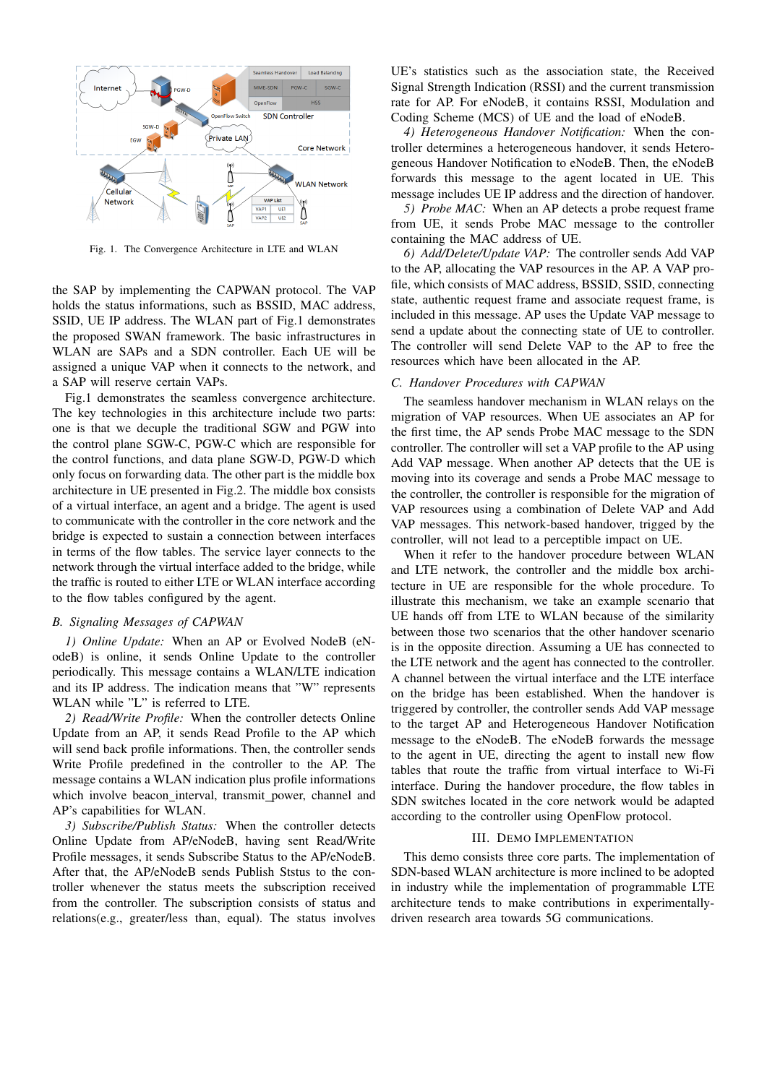

Fig. 1. The Convergence Architecture in LTE and WLAN

the SAP by implementing the CAPWAN protocol. The VAP holds the status informations, such as BSSID, MAC address, SSID, UE IP address. The WLAN part of Fig.1 demonstrates the proposed SWAN framework. The basic infrastructures in WLAN are SAPs and a SDN controller. Each UE will be assigned a unique VAP when it connects to the network, and a SAP will reserve certain VAPs.

Fig.1 demonstrates the seamless convergence architecture. The key technologies in this architecture include two parts: one is that we decuple the traditional SGW and PGW into the control plane SGW-C, PGW-C which are responsible for the control functions, and data plane SGW-D, PGW-D which only focus on forwarding data. The other part is the middle box architecture in UE presented in Fig.2. The middle box consists of a virtual interface, an agent and a bridge. The agent is used to communicate with the controller in the core network and the bridge is expected to sustain a connection between interfaces in terms of the flow tables. The service layer connects to the network through the virtual interface added to the bridge, while the traffic is routed to either LTE or WLAN interface according to the flow tables configured by the agent.

# *B. Signaling Messages of CAPWAN*

*1) Online Update:* When an AP or Evolved NodeB (eNodeB) is online, it sends Online Update to the controller periodically. This message contains a WLAN/LTE indication and its IP address. The indication means that "W" represents WLAN while "L" is referred to LTE.

*2) Read/Write Profile:* When the controller detects Online Update from an AP, it sends Read Profile to the AP which will send back profile informations. Then, the controller sends Write Profile predefined in the controller to the AP. The message contains a WLAN indication plus profile informations which involve beacon\_interval, transmit\_power, channel and AP's capabilities for WLAN.

*3) Subscribe/Publish Status:* When the controller detects Online Update from AP/eNodeB, having sent Read/Write Profile messages, it sends Subscribe Status to the AP/eNodeB. After that, the AP/eNodeB sends Publish Ststus to the controller whenever the status meets the subscription received from the controller. The subscription consists of status and relations(e.g., greater/less than, equal). The status involves

UE's statistics such as the association state, the Received Signal Strength Indication (RSSI) and the current transmission rate for AP. For eNodeB, it contains RSSI, Modulation and Coding Scheme (MCS) of UE and the load of eNodeB.

*4) Heterogeneous Handover Notification:* When the controller determines a heterogeneous handover, it sends Heterogeneous Handover Notification to eNodeB. Then, the eNodeB forwards this message to the agent located in UE. This message includes UE IP address and the direction of handover.

*5) Probe MAC:* When an AP detects a probe request frame from UE, it sends Probe MAC message to the controller containing the MAC address of UE.

*6) Add/Delete/Update VAP:* The controller sends Add VAP to the AP, allocating the VAP resources in the AP. A VAP profile, which consists of MAC address, BSSID, SSID, connecting state, authentic request frame and associate request frame, is included in this message. AP uses the Update VAP message to send a update about the connecting state of UE to controller. The controller will send Delete VAP to the AP to free the resources which have been allocated in the AP.

## *C. Handover Procedures with CAPWAN*

The seamless handover mechanism in WLAN relays on the migration of VAP resources. When UE associates an AP for the first time, the AP sends Probe MAC message to the SDN controller. The controller will set a VAP profile to the AP using Add VAP message. When another AP detects that the UE is moving into its coverage and sends a Probe MAC message to the controller, the controller is responsible for the migration of VAP resources using a combination of Delete VAP and Add VAP messages. This network-based handover, trigged by the controller, will not lead to a perceptible impact on UE.

When it refer to the handover procedure between WLAN and LTE network, the controller and the middle box architecture in UE are responsible for the whole procedure. To illustrate this mechanism, we take an example scenario that UE hands off from LTE to WLAN because of the similarity between those two scenarios that the other handover scenario is in the opposite direction. Assuming a UE has connected to the LTE network and the agent has connected to the controller. A channel between the virtual interface and the LTE interface on the bridge has been established. When the handover is triggered by controller, the controller sends Add VAP message to the target AP and Heterogeneous Handover Notification message to the eNodeB. The eNodeB forwards the message to the agent in UE, directing the agent to install new flow tables that route the traffic from virtual interface to Wi-Fi interface. During the handover procedure, the flow tables in SDN switches located in the core network would be adapted according to the controller using OpenFlow protocol.

# III. DEMO IMPLEMENTATION

This demo consists three core parts. The implementation of SDN-based WLAN architecture is more inclined to be adopted in industry while the implementation of programmable LTE architecture tends to make contributions in experimentallydriven research area towards 5G communications.